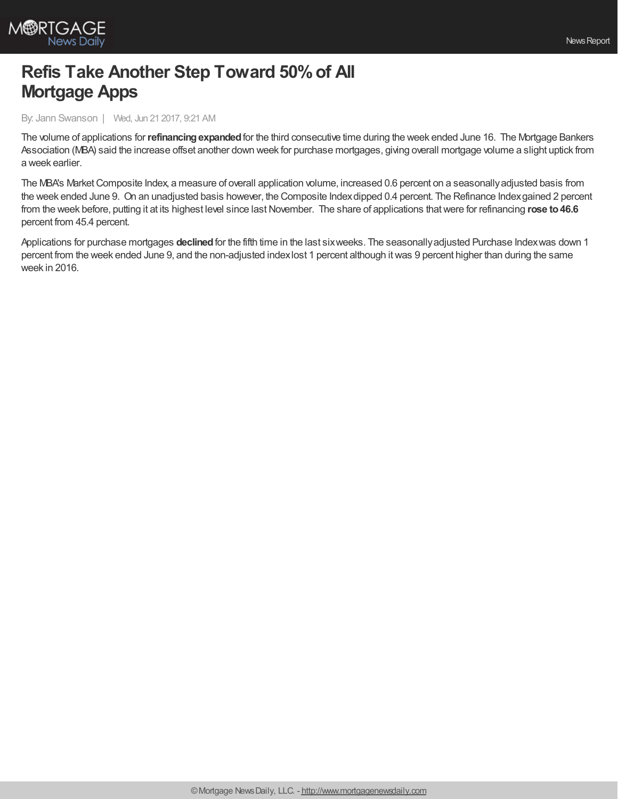

## **Refis Take Another Step Toward 50%of All Mortgage Apps**

By: Jann Swanson | Wed, Jun 21 2017, 9:21 AM

The volume of applications for**refinancingexpanded**for the third consecutive time during the week ended June 16. The Mortgage Bankers Association (MBA) said the increase offset another down week for purchase mortgages, giving overall mortgage volume a slight uptick from a week earlier.

The MBA's Market Composite Index, a measure of overall application volume, increased 0.6 percent on a seasonally adjusted basis from the week ended June 9. On an unadjusted basis however, the Composite Indexdipped 0.4 percent. The Refinance Indexgained 2 percent from the week before, putting it at its highest level since last November. The share of applications that were for refinancing rose to 46.6 percent from 45.4 percent.

Applications for purchase mortgages **declined**for the fifth time in the last sixweeks. The seasonallyadjusted Purchase Indexwas down 1 percent from the week ended June 9, and the non-adjusted indexlost 1 percent although itwas 9 percent higher than during the same week in 2016.